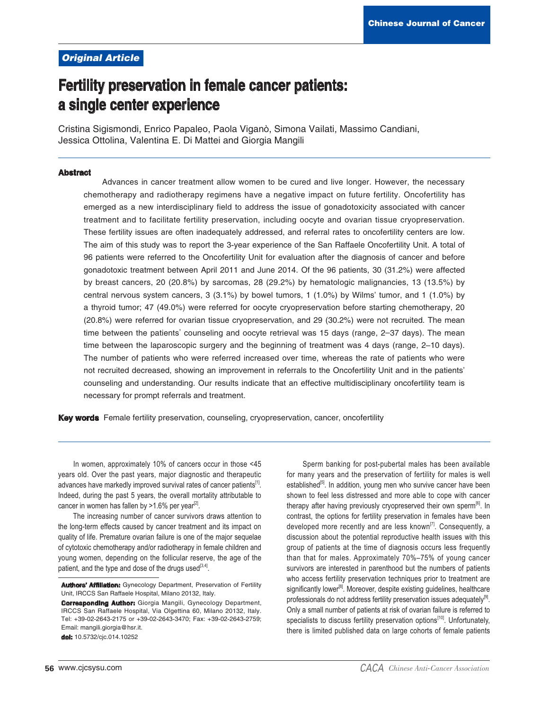### **Original Article**

# **Fertility preservation in female cancer patients:** a single center experience

Cristina Sigismondi, Enrico Papaleo, Paola Viganò, Simona Vailati, Massimo Candiani, Jessica Ottolina, Valentina E. Di Mattei and Giorgia Mangili

#### **Abstract**

Advances in cancer treatment allow women to be cured and live longer. However, the necessary chemotherapy and radiotherapy regimens have a negative impact on future fertility. Oncofertility has emerged as a new interdisciplinary field to address the issue of gonadotoxicity associated with cancer treatment and to facilitate fertility preservation, including oocyte and ovarian tissue cryopreservation. These fertility issues are often inadequately addressed, and referral rates to oncofertility centers are low. The aim of this study was to report the 3-year experience of the San Raffaele Oncofertility Unit. A total of 96 patients were referred to the Oncofertility Unit for evaluation after the diagnosis of cancer and before gonadotoxic treatment between April 2011 and June 2014. Of the 96 patients, 30 (31.2%) were affected by breast cancers, 20 (20.8%) by sarcomas, 28 (29.2%) by hematologic malignancies, 13 (13.5%) by central nervous system cancers, 3 (3.1%) by bowel tumors, 1 (1.0%) by Wilms' tumor, and 1 (1.0%) by a thyroid tumor; 47 (49.0%) were referred for oocyte cryopreservation before starting chemotherapy, 20 (20.8%) were referred for ovarian tissue cryopreservation, and 29 (30.2%) were not recruited. The mean time between the patients' counseling and oocyte retrieval was 15 days (range, 2-37 days). The mean time between the laparoscopic surgery and the beginning of treatment was 4 days (range, 2-10 days). The number of patients who were referred increased over time, whereas the rate of patients who were not recruited decreased, showing an improvement in referrals to the Oncofertility Unit and in the patients' counseling and understanding. Our results indicate that an effective multidisciplinary oncofertility team is necessary for prompt referrals and treatment.

Key words Female fertility preservation, counseling, cryopreservation, cancer, oncofertility

In women, approximately 10% of cancers occur in those <45 years old. Over the past years, major diagnostic and therapeutic advances have markedly improved survival rates of cancer patients<sup>[1]</sup>. Indeed, during the past 5 years, the overall mortality attributable to cancer in women has fallen by >1.6% per year<sup>[2]</sup>.

The increasing number of cancer survivors draws attention to the long-term effects caused by cancer treatment and its impact on quality of life. Premature ovarian failure is one of the major sequelae of cytotoxic chemotherapy and/or radiotherapy in female children and young women, depending on the follicular reserve, the age of the patient, and the type and dose of the drugs used<sup>[3,4]</sup>.

dol: 10.5732/cjc.014.10252

Sperm banking for post-pubertal males has been available for many years and the preservation of fertility for males is well established<sup>[5]</sup>. In addition, young men who survive cancer have been shown to feel less distressed and more able to cope with cancer therapy after having previously cryopreserved their own sperm<sup>®</sup>. In contrast, the options for fertility preservation in females have been developed more recently and are less known<sup>[7]</sup>. Consequently, a discussion about the potential reproductive health issues with this group of patients at the time of diagnosis occurs less frequently than that for males. Approximately 70%-75% of young cancer survivors are interested in parenthood but the numbers of patients who access fertility preservation techniques prior to treatment are significantly lower<sup>18</sup>. Moreover, despite existing quidelines, healthcare professionals do not address fertility preservation issues adequately<sup>[9]</sup>. Only a small number of patients at risk of ovarian failure is referred to specialists to discuss fertility preservation options<sup>[10]</sup>. Unfortunately, there is limited published data on large cohorts of female patients

Authors' Affiliation: Gynecology Department, Preservation of Fertility Unit, IRCCS San Raffaele Hospital, Milano 20132, Italy.

**Corresponding Author:** Giorgia Mangili, Gynecology Department, IRCCS San Raffaele Hospital, Via Olgettina 60, Milano 20132, Italy. Tel: +39-02-2643-2175 or +39-02-2643-3470; Fax: +39-02-2643-2759; Email: mangili.giorgia@hsr.it.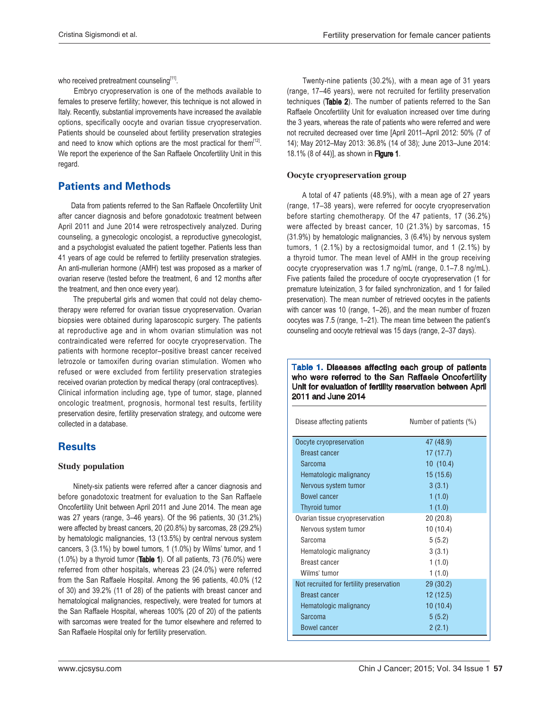who received pretreatment counseling $[11]$ .

 Embryo cryopreservation is one of the methods available to females to preserve fertility; however, this technique is not allowed in Italy. Recently, substantial improvements have increased the available options, specifically oocyte and ovarian tissue cryopreservation. Patients should be counseled about fertility preservation strategies and need to know which options are the most practical for them $<sup>[12]</sup>$ .</sup> We report the experience of the San Raffaele Oncofertility Unit in this regard.

# **Patients and Methods**

 Data from patients referred to the San Raffaele Oncofertility Unit after cancer diagnosis and before gonadotoxic treatment between April 2011 and June 2014 were retrospectively analyzed. During counseling, a gynecologic oncologist, a reproductive gynecologist, and a psychologist evaluated the patient together. Patients less than 41 years of age could be referred to fertility preservation strategies. An anti-mullerian hormone (AMH) test was proposed as a marker of ovarian reserve (tested before the treatment, 6 and 12 months after the treatment, and then once every year).

 The prepubertal girls and women that could not delay chemotherapy were referred for ovarian tissue cryopreservation. Ovarian biopsies were obtained during laparoscopic surgery. The patients at reproductive age and in whom ovarian stimulation was not contraindicated were referred for oocyte cryopreservation. The patients with hormone receptor–positive breast cancer received letrozole or tamoxifen during ovarian stimulation. Women who refused or were excluded from fertility preservation strategies received ovarian protection by medical therapy (oral contraceptives). Clinical information including age, type of tumor, stage, planned oncologic treatment, prognosis, hormonal test results, fertility preservation desire, fertility preservation strategy, and outcome were collected in a database.

# Results

#### **Study population**

 Ninety-six patients were referred after a cancer diagnosis and before gonadotoxic treatment for evaluation to the San Raffaele Oncofertility Unit between April 2011 and June 2014. The mean age was 27 years (range, 3–46 years). Of the 96 patients, 30 (31.2%) were affected by breast cancers, 20 (20.8%) by sarcomas, 28 (29.2%) by hematologic malignancies, 13 (13.5%) by central nervous system cancers, 3 (3.1%) by bowel tumors, 1 (1.0%) by Wilms' tumor, and 1  $(1.0\%)$  by a thyroid tumor (Table 1). Of all patients, 73 (76.0%) were referred from other hospitals, whereas 23 (24.0%) were referred from the San Raffaele Hospital. Among the 96 patients, 40.0% (12 of 30) and 39.2% (11 of 28) of the patients with breast cancer and hematological malignancies, respectively, were treated for tumors at the San Raffaele Hospital, whereas 100% (20 of 20) of the patients with sarcomas were treated for the tumor elsewhere and referred to San Raffaele Hospital only for fertility preservation.

 Twenty-nine patients (30.2%), with a mean age of 31 years (range, 17–46 years), were not recruited for fertility preservation techniques (Table 2). The number of patients referred to the San Raffaele Oncofertility Unit for evaluation increased over time during the 3 years, whereas the rate of patients who were referred and were not recruited decreased over time [April 2011–April 2012: 50% (7 of 14); May 2012–May 2013: 36.8% (14 of 38); June 2013–June 2014: 18.1% (8 of 44)], as shown in Figure 1.

### Oocyte cryopreservation group

 A total of 47 patients (48.9%), with a mean age of 27 years (range, 17–38 years), were referred for oocyte cryopreservation before starting chemotherapy. Of the 47 patients, 17 (36.2%) were affected by breast cancer, 10 (21.3%) by sarcomas, 15 (31.9%) by hematologic malignancies, 3 (6.4%) by nervous system tumors, 1 (2.1%) by a rectosigmoidal tumor, and 1 (2.1%) by a thyroid tumor. The mean level of AMH in the group receiving oocyte cryopreservation was 1.7 ng/mL (range, 0.1–7.8 ng/mL). Five patients failed the procedure of oocyte cryopreservation (1 for premature luteinization, 3 for failed synchronization, and 1 for failed preservation). The mean number of retrieved oocytes in the patients with cancer was 10 (range, 1–26), and the mean number of frozen oocytes was 7.5 (range, 1–21). The mean time between the patient's counseling and oocyte retrieval was 15 days (range, 2–37 days).

#### Table 1. Diseases affecting each group of patients who were referred to the San Raffaele Oncofertility Unit for evaluation of fertility reservation between April 2011 and June 2014

| Disease affecting patients               | Number of patients (%) |
|------------------------------------------|------------------------|
| Oocyte cryopreservation                  | 47 (48.9)              |
| <b>Breast cancer</b>                     | 17 (17.7)              |
| Sarcoma                                  | 10(10.4)               |
| Hematologic malignancy                   | 15(15.6)               |
| Nervous system tumor                     | 3(3.1)                 |
| <b>Bowel cancer</b>                      | 1(1.0)                 |
| <b>Thyroid tumor</b>                     | 1(1.0)                 |
| Ovarian tissue cryopreservation          | 20(20.8)               |
| Nervous system tumor                     | 10 (10.4)              |
| Sarcoma                                  | 5(5.2)                 |
| Hematologic malignancy                   | 3(3.1)                 |
| Breast cancer                            | 1(1.0)                 |
| Wilms' tumor                             | 1(1.0)                 |
| Not recruited for fertility preservation | 29(30.2)               |
| <b>Breast cancer</b>                     | 12 (12.5)              |
| Hematologic malignancy                   | 10(10.4)               |
| Sarcoma                                  | 5(5.2)                 |
| Bowel cancer                             | 2(2.1)                 |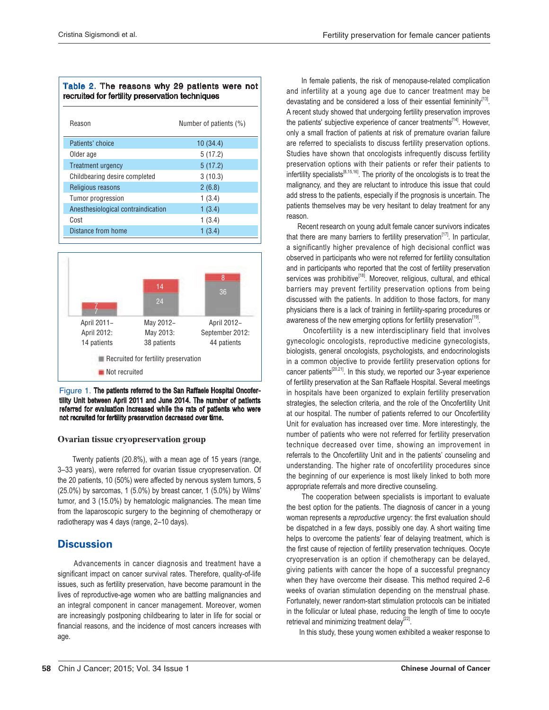#### Table 2. The reasons why 29 patients were not recruited for fertility preservation techniques

| Reason                             | Number of patients (%) |
|------------------------------------|------------------------|
| Patients' choice                   | 10(34.4)               |
| Older age                          | 5(17.2)                |
| Treatment urgency                  | 5(17.2)                |
| Childbearing desire completed      | 3(10.3)                |
| Religious reasons                  | 2(6.8)                 |
| Tumor progression                  | 1(3.4)                 |
| Anesthesiological contraindication | 1(3.4)                 |
| Cost                               | 1(3.4)                 |
| Distance from home                 | 1(3.4)                 |



#### Figure 1. The patients referred to the San Raffaele Hospital Oncofertility Unit between April 2011 and June 2014. The number of patients referred for evaluation increased while the rate of patients who were not recruited for fertility preservation decreased over time.

#### Ovarian tissue cryopreservation group

 Twenty patients (20.8%), with a mean age of 15 years (range, 3–33 years), were referred for ovarian tissue cryopreservation. Of the 20 patients, 10 (50%) were affected by nervous system tumors, 5 (25.0%) by sarcomas, 1 (5.0%) by breast cancer, 1 (5.0%) by Wilms' tumor, and 3 (15.0%) by hematologic malignancies. The mean time from the laparoscopic surgery to the beginning of chemotherapy or radiotherapy was 4 days (range, 2–10 days).

## **Discussion**

 Advancements in cancer diagnosis and treatment have a significant impact on cancer survival rates. Therefore, quality-of-life issues, such as fertility preservation, have become paramount in the lives of reproductive-age women who are battling malignancies and an integral component in cancer management. Moreover, women are increasingly postponing childbearing to later in life for social or financial reasons, and the incidence of most cancers increases with age.

 In female patients, the risk of menopause-related complication and infertility at a young age due to cancer treatment may be devastating and be considered a loss of their essential femininity $13$ . A recent study showed that undergoing fertility preservation improves the patients' subjective experience of cancer treatments<sup>[14]</sup>. However, only a small fraction of patients at risk of premature ovarian failure are referred to specialists to discuss fertility preservation options. Studies have shown that oncologists infrequently discuss fertility preservation options with their patients or refer their patients to infertility specialists $[8,15,16]$ . The priority of the oncologists is to treat the malignancy, and they are reluctant to introduce this issue that could add stress to the patients, especially if the prognosis is uncertain. The patients themselves may be very hesitant to delay treatment for any reason.

 Recent research on young adult female cancer survivors indicates that there are many barriers to fertility preservation $<sup>[17]</sup>$ . In particular,</sup> a significantly higher prevalence of high decisional conflict was observed in participants who were not referred for fertility consultation and in participants who reported that the cost of fertility preservation services was prohibitive<sup>[18]</sup>. Moreover, religious, cultural, and ethical barriers may prevent fertility preservation options from being discussed with the patients. In addition to those factors, for many physicians there is a lack of training in fertility-sparing procedures or awareness of the new emerging options for fertility preservation<sup>[19]</sup>.

 Oncofertility is a new interdisciplinary field that involves gynecologic oncologists, reproductive medicine gynecologists, biologists, general oncologists, psychologists, and endocrinologists in a common objective to provide fertility preservation options for cancer patients $[20,21]$ . In this study, we reported our 3-year experience of fertility preservation at the San Raffaele Hospital. Several meetings in hospitals have been organized to explain fertility preservation strategies, the selection criteria, and the role of the Oncofertility Unit at our hospital. The number of patients referred to our Oncofertility Unit for evaluation has increased over time. More interestingly, the number of patients who were not referred for fertility preservation technique decreased over time, showing an improvement in referrals to the Oncofertility Unit and in the patients' counseling and understanding. The higher rate of oncofertility procedures since the beginning of our experience is most likely linked to both more appropriate referrals and more directive counseling.

 The cooperation between specialists is important to evaluate the best option for the patients. The diagnosis of cancer in a young woman represents a reproductive urgency: the first evaluation should be dispatched in a few days, possibly one day. A short waiting time helps to overcome the patients' fear of delaying treatment, which is the first cause of rejection of fertility preservation techniques. Oocyte cryopreservation is an option if chemotherapy can be delayed, giving patients with cancer the hope of a successful pregnancy when they have overcome their disease. This method required 2–6 weeks of ovarian stimulation depending on the menstrual phase. Fortunately, newer random-start stimulation protocols can be initiated in the follicular or luteal phase, reducing the length of time to oocyte retrieval and minimizing treatment delay $^{[22]}$ .

In this study, these young women exhibited a weaker response to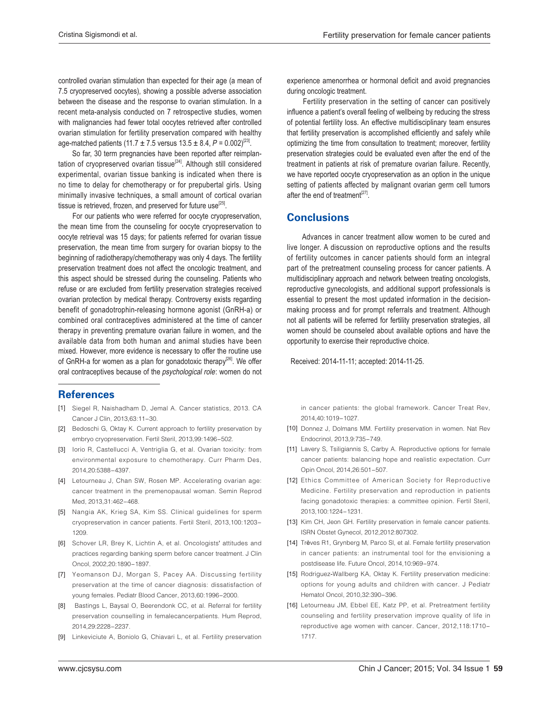controlled ovarian stimulation than expected for their age (a mean of 7.5 cryopreserved oocytes), showing a possible adverse association between the disease and the response to ovarian stimulation. In a recent meta-analysis conducted on 7 retrospective studies, women with malignancies had fewer total oocytes retrieved after controlled ovarian stimulation for fertility preservation compared with healthy age-matched patients (11.7  $\pm$  7.5 versus 13.5  $\pm$  8.4, P = 0.002)<sup>[23]</sup>.

 So far, 30 term pregnancies have been reported after reimplantation of cryopreserved ovarian tissue<sup>[24]</sup>. Although still considered experimental, ovarian tissue banking is indicated when there is no time to delay for chemotherapy or for prepubertal girls. Using minimally invasive techniques, a small amount of cortical ovarian tissue is retrieved, frozen, and preserved for future use $^{[25]}$ .

 For our patients who were referred for oocyte cryopreservation, the mean time from the counseling for oocyte cryopreservation to oocyte retrieval was 15 days; for patients referred for ovarian tissue preservation, the mean time from surgery for ovarian biopsy to the beginning of radiotherapy/chemotherapy was only 4 days. The fertility preservation treatment does not affect the oncologic treatment, and this aspect should be stressed during the counseling. Patients who refuse or are excluded from fertility preservation strategies received ovarian protection by medical therapy. Controversy exists regarding benefit of gonadotrophin-releasing hormone agonist (GnRH-a) or combined oral contraceptives administered at the time of cancer therapy in preventing premature ovarian failure in women, and the available data from both human and animal studies have been mixed. However, more evidence is necessary to offer the routine use of GnRH-a for women as a plan for gonadotoxic therapy<sup>[26]</sup>. We offer oral contraceptives because of the psychological role: women do not

# **References**

- [1] Siegel R, Naishadham D, Jemal A. Cancer statistics, 2013. CA Cancer J Clin, 2013,63:11-30.
- [2] Bedoschi G, Oktay K. Current approach to fertility preservation by embryo cryopreservation. Fertil Steril, 2013,99:1496-502.
- [3] Iorio R, Castellucci A, Ventriglia G, et al. Ovarian toxicity: from environmental exposure to chemotherapy. Curr Pharm Des, 2014,20:5388-4397.
- [4] Letourneau J, Chan SW, Rosen MP. Accelerating ovarian age: cancer treatment in the premenopausal woman. Semin Reprod Med, 2013,31:462-468.
- [5] Nangia AK, Krieg SA, Kim SS. Clinical guidelines for sperm cryopreservation in cancer patients. Fertil Steril, 2013,100:1203-1209
- [6] Schover LR, Brey K, Lichtin A, et al. Oncologists' attitudes and practices regarding banking sperm before cancer treatment. J Clin Oncol, 2002, 20:1890-1897.
- [7] Yeomanson DJ, Morgan S, Pacey AA. Discussing fertility preservation at the time of cancer diagnosis: dissatisfaction of young females. Pediatr Blood Cancer, 2013,60:1996-2000.
- [8] Bastings L, Baysal O, Beerendonk CC, et al. Referral for fertility preservation counselling in femalecancerpatients. Hum Reprod, 2014.29:2228-2237.
- [9] Linkeviciute A, Boniolo G, Chiavari L, et al. Fertility preservation

experience amenorrhea or hormonal deficit and avoid pregnancies during oncologic treatment.

 Fertility preservation in the setting of cancer can positively influence a patient's overall feeling of wellbeing by reducing the stress  $\overline{\phantom{a}}$  $\overline{\phantom{a}}$ of potential fertility loss. An effective multidisciplinary team ensures that fertility preservation is accomplished efficiently and safely while optimizing the time from consultation to treatment; moreover, fertility preservation strategies could be evaluated even after the end of the treatment in patients at risk of premature ovarian failure. Recently, we have reported oocyte cryopreservation as an option in the unique setting of patients affected by malignant ovarian germ cell tumors after the end of treatment<sup>[27]</sup>.

### Conclusions

 Advances in cancer treatment allow women to be cured and live longer. A discussion on reproductive options and the results of fertility outcomes in cancer patients should form an integral part of the pretreatment counseling process for cancer patients. A multidisciplinary approach and network between treating oncologists, reproductive gynecologists, and additional support professionals is essential to present the most updated information in the decisionmaking process and for prompt referrals and treatment. Although not all patients will be referred for fertility preservation strategies, all women should be counseled about available options and have the opportunity to exercise their reproductive choice.

Received: 2014-11-11; accepted: 2014-11-25.

in cancer patients: the global framework. Cancer Treat Rev. 2014.40:1019-1027.

- [10] Donnez J, Dolmans MM. Fertility preservation in women. Nat Rev Endocrinol, 2013,9:735-749.
- [11] Lavery S, Tsiligiannis S, Carby A. Reproductive options for female cancer patients: balancing hope and realistic expectation. Curr Opin Oncol, 2014,26:501-507.
- [12] Ethics Committee of American Society for Reproductive Medicine. Fertility preservation and reproduction in patients facing gonadotoxic therapies: a committee opinion. Fertil Steril, 2013, 100: 1224 - 1231.
- [13] Kim CH, Jeon GH. Fertility preservation in female cancer patients. ISRN Obstet Gynecol, 2012,2012:807302.
- [14] Trèves R1, Grynberg M, Parco SI, et al. Female fertility preservation in cancer patients: an instrumental tool for the envisioning a postdisease life. Future Oncol, 2014, 10:969-974.
- [15] Rodriguez-Wallberg KA, Oktay K. Fertility preservation medicine: options for young adults and children with cancer. J Pediatr Hematol Oncol, 2010,32:390-396.
- [16] Letourneau JM, Ebbel EE, Katz PP, et al. Pretreatment fertility counseling and fertility preservation improve quality of life in reproductive age women with cancer. Cancer, 2012,118:1710-1717.